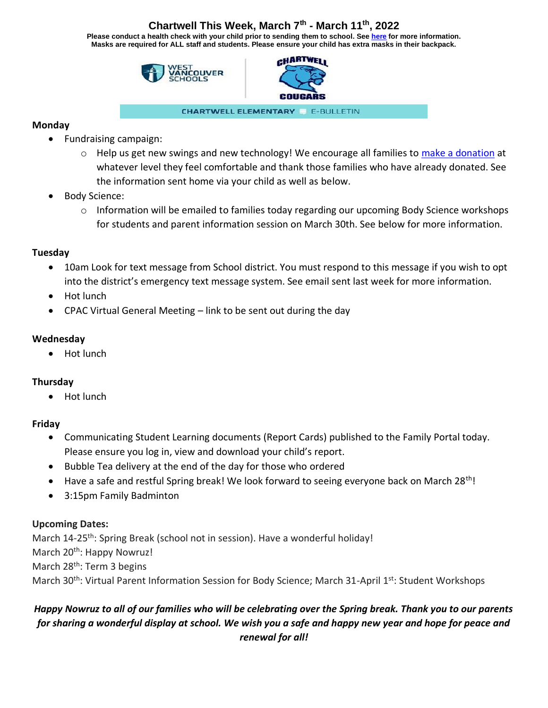# **Chartwell This Week, March 7th - March 11th, 2022**

**Please conduct a health check with your child prior to sending them to school. See [here](https://www.k12dailycheck.gov.bc.ca/healthcheck?execution=e2s1) for more information. Masks are required for ALL staff and students. Please ensure your child has extra masks in their backpack.**





**CHARTWELL ELEMENTARY E-BULLETIN** 

## **Monday**

- Fundraising campaign:
	- $\circ$  Help us get new swings and new technology! We encourage all families to [make a donation](https://westvancouver.schoolcashonline.com/Fee/Details/207/105/false/true) at whatever level they feel comfortable and thank those families who have already donated. See the information sent home via your child as well as below.
- Body Science:
	- $\circ$  Information will be emailed to families today regarding our upcoming Body Science workshops for students and parent information session on March 30th. See below for more information.

# **Tuesday**

- 10am Look for text message from School district. You must respond to this message if you wish to opt into the district's emergency text message system. See email sent last week for more information.
- Hot lunch
- CPAC Virtual General Meeting link to be sent out during the day

# **Wednesday**

• Hot lunch

## **Thursday**

• Hot lunch

# **Friday**

- Communicating Student Learning documents (Report Cards) published to the Family Portal today. Please ensure you log in, view and download your child's report.
- Bubble Tea delivery at the end of the day for those who ordered
- Have a safe and restful Spring break! We look forward to seeing everyone back on March 28<sup>th</sup>!
- 3:15pm Family Badminton

# **Upcoming Dates:**

March 14-25<sup>th</sup>: Spring Break (school not in session). Have a wonderful holiday! March 20<sup>th</sup>: Happy Nowruz! March 28<sup>th</sup>: Term 3 begins March 30<sup>th</sup>: Virtual Parent Information Session for Body Science; March 31-April 1<sup>st</sup>: Student Workshops

# *Happy Nowruz to all of our families who will be celebrating over the Spring break. Thank you to our parents for sharing a wonderful display at school. We wish you a safe and happy new year and hope for peace and renewal for all!*